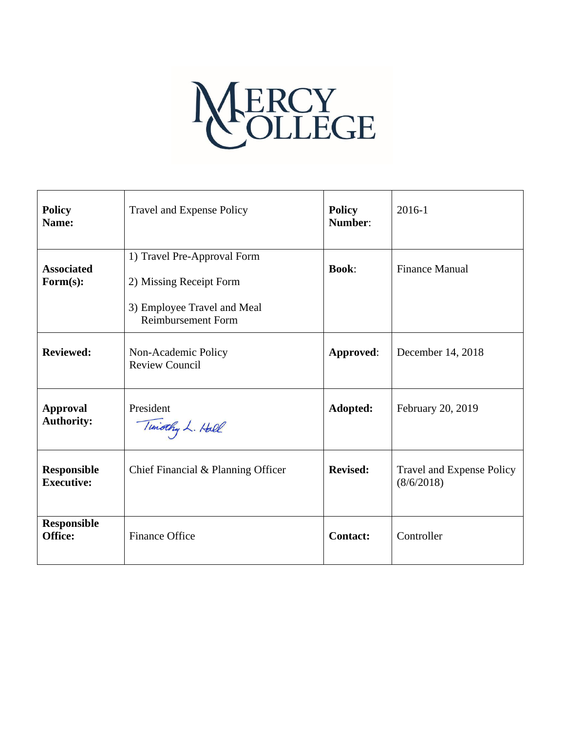

| <b>Policy</b><br>Name:                  | <b>Travel and Expense Policy</b>                                                                                   | <b>Policy</b><br>Number: | 2016-1                                         |
|-----------------------------------------|--------------------------------------------------------------------------------------------------------------------|--------------------------|------------------------------------------------|
| <b>Associated</b><br>Form(s):           | 1) Travel Pre-Approval Form<br>2) Missing Receipt Form<br>3) Employee Travel and Meal<br><b>Reimbursement Form</b> | <b>Book:</b>             | <b>Finance Manual</b>                          |
| <b>Reviewed:</b>                        | Non-Academic Policy<br><b>Review Council</b>                                                                       | Approved:                | December 14, 2018                              |
| <b>Approval</b><br><b>Authority:</b>    | President<br>Timothy L. Hall                                                                                       | Adopted:                 | February 20, 2019                              |
| <b>Responsible</b><br><b>Executive:</b> | Chief Financial & Planning Officer                                                                                 | <b>Revised:</b>          | <b>Travel and Expense Policy</b><br>(8/6/2018) |
| <b>Responsible</b><br>Office:           | <b>Finance Office</b>                                                                                              | <b>Contact:</b>          | Controller                                     |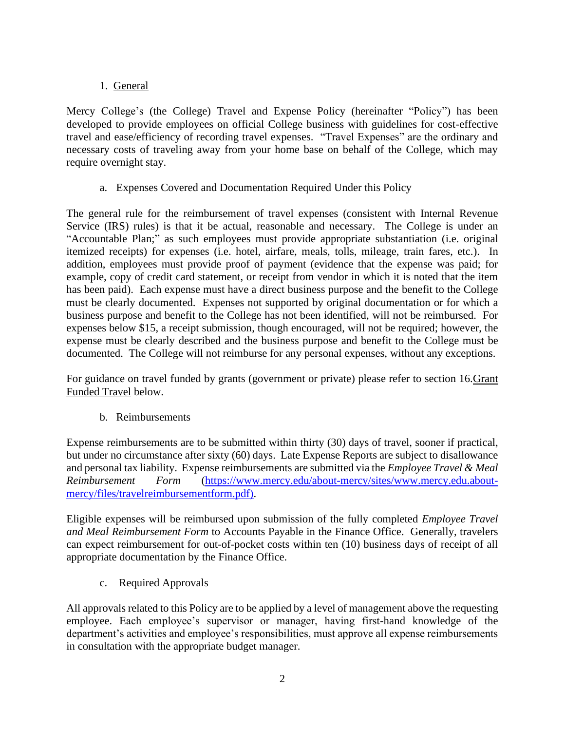## 1. General

Mercy College's (the College) Travel and Expense Policy (hereinafter "Policy") has been developed to provide employees on official College business with guidelines for cost-effective travel and ease/efficiency of recording travel expenses. "Travel Expenses" are the ordinary and necessary costs of traveling away from your home base on behalf of the College, which may require overnight stay.

a. Expenses Covered and Documentation Required Under this Policy

The general rule for the reimbursement of travel expenses (consistent with Internal Revenue Service (IRS) rules) is that it be actual, reasonable and necessary. The College is under an "Accountable Plan;" as such employees must provide appropriate substantiation (i.e. original itemized receipts) for expenses (i.e. hotel, airfare, meals, tolls, mileage, train fares, etc.). In addition, employees must provide proof of payment (evidence that the expense was paid; for example, copy of credit card statement, or receipt from vendor in which it is noted that the item has been paid). Each expense must have a direct business purpose and the benefit to the College must be clearly documented. Expenses not supported by original documentation or for which a business purpose and benefit to the College has not been identified, will not be reimbursed. For expenses below \$15, a receipt submission, though encouraged, will not be required; however, the expense must be clearly described and the business purpose and benefit to the College must be documented. The College will not reimburse for any personal expenses, without any exceptions.

For guidance on travel funded by grants (government or private) please refer to section 16. Grant Funded Travel below.

# b. Reimbursements

Expense reimbursements are to be submitted within thirty (30) days of travel, sooner if practical, but under no circumstance after sixty (60) days. Late Expense Reports are subject to disallowance and personal tax liability. Expense reimbursements are submitted via the *Employee Travel & Meal Reimbursement Form* [\(https://www.mercy.edu/about-mercy/sites/www.mercy.edu.about](https://www.mercy.edu/about-mercy/sites/www.mercy.edu.about-mercy/files/travelreimbursementform.pdf))[mercy/files/travelreimbursementform.pdf\).](https://www.mercy.edu/about-mercy/sites/www.mercy.edu.about-mercy/files/travelreimbursementform.pdf))

Eligible expenses will be reimbursed upon submission of the fully completed *Employee Travel and Meal Reimbursement Form* to Accounts Payable in the Finance Office. Generally, travelers can expect reimbursement for out-of-pocket costs within ten (10) business days of receipt of all appropriate documentation by the Finance Office.

c. Required Approvals

All approvals related to this Policy are to be applied by a level of management above the requesting employee. Each employee's supervisor or manager, having first-hand knowledge of the department's activities and employee's responsibilities, must approve all expense reimbursements in consultation with the appropriate budget manager.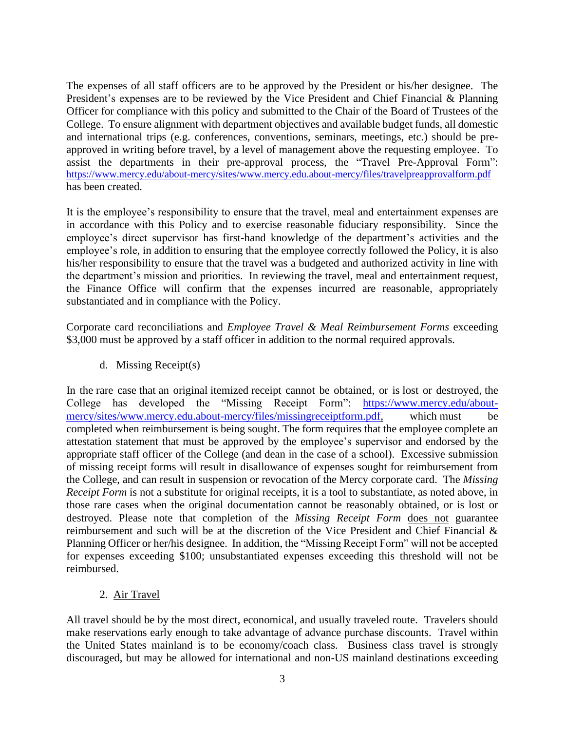The expenses of all staff officers are to be approved by the President or his/her designee. The President's expenses are to be reviewed by the Vice President and Chief Financial & Planning Officer for compliance with this policy and submitted to the Chair of the Board of Trustees of the College. To ensure alignment with department objectives and available budget funds, all domestic and international trips (e.g. conferences, conventions, seminars, meetings, etc.) should be preapproved in writing before travel, by a level of management above the requesting employee. To assist the departments in their pre-approval process, the "Travel Pre-Approval Form": <https://www.mercy.edu/about-mercy/sites/www.mercy.edu.about-mercy/files/travelpreapprovalform.pdf> has been created.

It is the employee's responsibility to ensure that the travel, meal and entertainment expenses are in accordance with this Policy and to exercise reasonable fiduciary responsibility. Since the employee's direct supervisor has first-hand knowledge of the department's activities and the employee's role, in addition to ensuring that the employee correctly followed the Policy, it is also his/her responsibility to ensure that the travel was a budgeted and authorized activity in line with the department's mission and priorities. In reviewing the travel, meal and entertainment request, the Finance Office will confirm that the expenses incurred are reasonable, appropriately substantiated and in compliance with the Policy.

Corporate card reconciliations and *Employee Travel & Meal Reimbursement Forms* exceeding \$3,000 must be approved by a staff officer in addition to the normal required approvals.

d. Missing Receipt(s)

In the rare case that an original itemized receipt cannot be obtained, or is lost or destroyed, the College has developed the "Missing Receipt Form": [https://www.mercy.edu/about](https://www.mercy.edu/about-mercy/sites/www.mercy.edu.about-mercy/files/missingreceiptform.pdf)[mercy/sites/www.mercy.edu.about-mercy/files/missingreceiptform.pdf,](https://www.mercy.edu/about-mercy/sites/www.mercy.edu.about-mercy/files/missingreceiptform.pdf) which must be completed when reimbursement is being sought. The form requires that the employee complete an attestation statement that must be approved by the employee's supervisor and endorsed by the appropriate staff officer of the College (and dean in the case of a school). Excessive submission of missing receipt forms will result in disallowance of expenses sought for reimbursement from the College, and can result in suspension or revocation of the Mercy corporate card. The *Missing Receipt Form* is not a substitute for original receipts, it is a tool to substantiate, as noted above, in those rare cases when the original documentation cannot be reasonably obtained, or is lost or destroyed. Please note that completion of the *Missing Receipt Form* does not guarantee reimbursement and such will be at the discretion of the Vice President and Chief Financial & Planning Officer or her/his designee. In addition, the "Missing Receipt Form" will not be accepted for expenses exceeding \$100; unsubstantiated expenses exceeding this threshold will not be reimbursed.

#### 2. Air Travel

All travel should be by the most direct, economical, and usually traveled route. Travelers should make reservations early enough to take advantage of advance purchase discounts. Travel within the United States mainland is to be economy/coach class. Business class travel is strongly discouraged, but may be allowed for international and non-US mainland destinations exceeding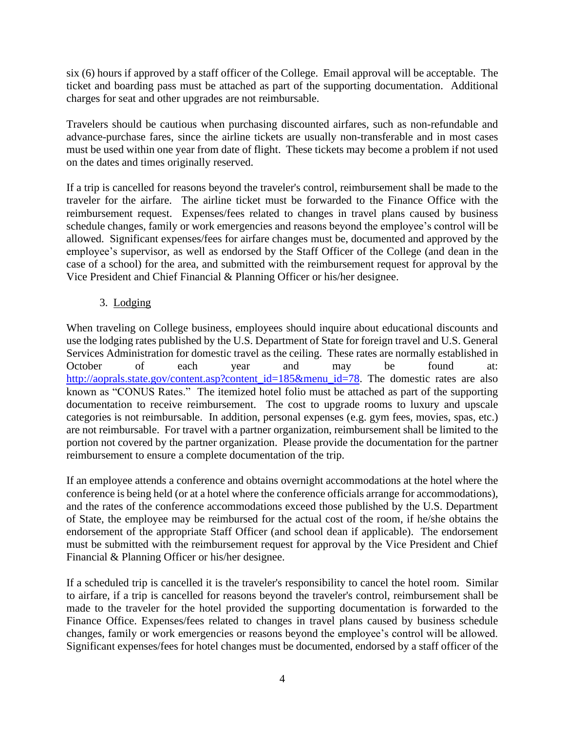six (6) hours if approved by a staff officer of the College. Email approval will be acceptable. The ticket and boarding pass must be attached as part of the supporting documentation. Additional charges for seat and other upgrades are not reimbursable.

Travelers should be cautious when purchasing discounted airfares, such as non-refundable and advance-purchase fares, since the airline tickets are usually non-transferable and in most cases must be used within one year from date of flight. These tickets may become a problem if not used on the dates and times originally reserved.

If a trip is cancelled for reasons beyond the traveler's control, reimbursement shall be made to the traveler for the airfare. The airline ticket must be forwarded to the Finance Office with the reimbursement request. Expenses/fees related to changes in travel plans caused by business schedule changes, family or work emergencies and reasons beyond the employee's control will be allowed. Significant expenses/fees for airfare changes must be, documented and approved by the employee's supervisor, as well as endorsed by the Staff Officer of the College (and dean in the case of a school) for the area, and submitted with the reimbursement request for approval by the Vice President and Chief Financial & Planning Officer or his/her designee.

#### 3. Lodging

When traveling on College business, employees should inquire about educational discounts and use the lodging rates published by the U.S. Department of State for foreign travel and U.S. General Services Administration for domestic travel as the ceiling. These rates are normally established in October of each year and may be found at: [http://aoprals.state.gov/content.asp?content\\_id=185&menu\\_id=78.](http://aoprals.state.gov/content.asp?content_id=185&menu_id=78) The domestic rates are also known as "CONUS Rates." The itemized hotel folio must be attached as part of the supporting documentation to receive reimbursement. The cost to upgrade rooms to luxury and upscale categories is not reimbursable. In addition, personal expenses (e.g. gym fees, movies, spas, etc.) are not reimbursable. For travel with a partner organization, reimbursement shall be limited to the portion not covered by the partner organization. Please provide the documentation for the partner reimbursement to ensure a complete documentation of the trip.

If an employee attends a conference and obtains overnight accommodations at the hotel where the conference is being held (or at a hotel where the conference officials arrange for accommodations), and the rates of the conference accommodations exceed those published by the U.S. Department of State, the employee may be reimbursed for the actual cost of the room, if he/she obtains the endorsement of the appropriate Staff Officer (and school dean if applicable). The endorsement must be submitted with the reimbursement request for approval by the Vice President and Chief Financial & Planning Officer or his/her designee.

If a scheduled trip is cancelled it is the traveler's responsibility to cancel the hotel room. Similar to airfare, if a trip is cancelled for reasons beyond the traveler's control, reimbursement shall be made to the traveler for the hotel provided the supporting documentation is forwarded to the Finance Office. Expenses/fees related to changes in travel plans caused by business schedule changes, family or work emergencies or reasons beyond the employee's control will be allowed. Significant expenses/fees for hotel changes must be documented, endorsed by a staff officer of the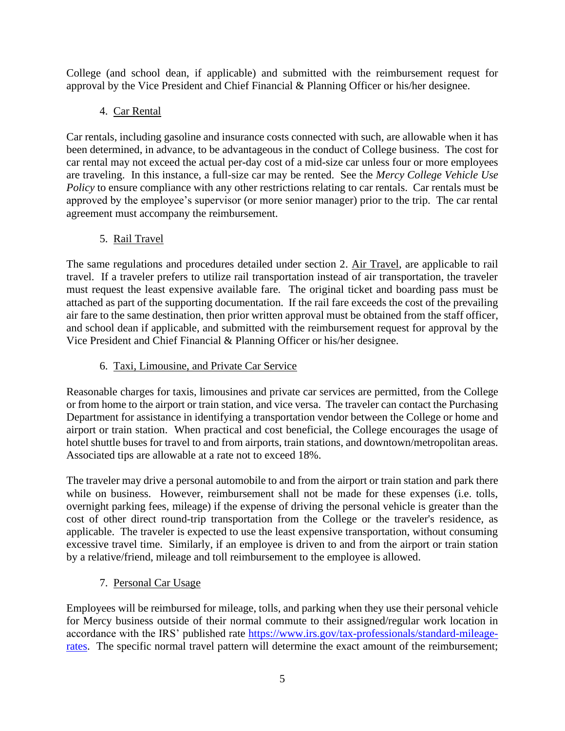College (and school dean, if applicable) and submitted with the reimbursement request for approval by the Vice President and Chief Financial & Planning Officer or his/her designee.

# 4. Car Rental

Car rentals, including gasoline and insurance costs connected with such, are allowable when it has been determined, in advance, to be advantageous in the conduct of College business. The cost for car rental may not exceed the actual per-day cost of a mid-size car unless four or more employees are traveling. In this instance, a full-size car may be rented. See the *Mercy College Vehicle Use Policy* to ensure compliance with any other restrictions relating to car rentals. Car rentals must be approved by the employee's supervisor (or more senior manager) prior to the trip. The car rental agreement must accompany the reimbursement.

## 5. Rail Travel

The same regulations and procedures detailed under section 2. Air Travel, are applicable to rail travel. If a traveler prefers to utilize rail transportation instead of air transportation, the traveler must request the least expensive available fare. The original ticket and boarding pass must be attached as part of the supporting documentation. If the rail fare exceeds the cost of the prevailing air fare to the same destination, then prior written approval must be obtained from the staff officer, and school dean if applicable, and submitted with the reimbursement request for approval by the Vice President and Chief Financial & Planning Officer or his/her designee.

### 6. Taxi, Limousine, and Private Car Service

Reasonable charges for taxis, limousines and private car services are permitted, from the College or from home to the airport or train station, and vice versa. The traveler can contact the Purchasing Department for assistance in identifying a transportation vendor between the College or home and airport or train station. When practical and cost beneficial, the College encourages the usage of hotel shuttle buses for travel to and from airports, train stations, and downtown/metropolitan areas. Associated tips are allowable at a rate not to exceed 18%.

The traveler may drive a personal automobile to and from the airport or train station and park there while on business. However, reimbursement shall not be made for these expenses (i.e. tolls, overnight parking fees, mileage) if the expense of driving the personal vehicle is greater than the cost of other direct round-trip transportation from the College or the traveler's residence, as applicable. The traveler is expected to use the least expensive transportation, without consuming excessive travel time. Similarly, if an employee is driven to and from the airport or train station by a relative/friend, mileage and toll reimbursement to the employee is allowed.

# 7. Personal Car Usage

Employees will be reimbursed for mileage, tolls, and parking when they use their personal vehicle for Mercy business outside of their normal commute to their assigned/regular work location in accordance with the IRS' published rate [https://www.irs.gov/tax-professionals/standard-mileage](https://www.irs.gov/tax-professionals/standard-mileage-rates)[rates.](https://www.irs.gov/tax-professionals/standard-mileage-rates) The specific normal travel pattern will determine the exact amount of the reimbursement;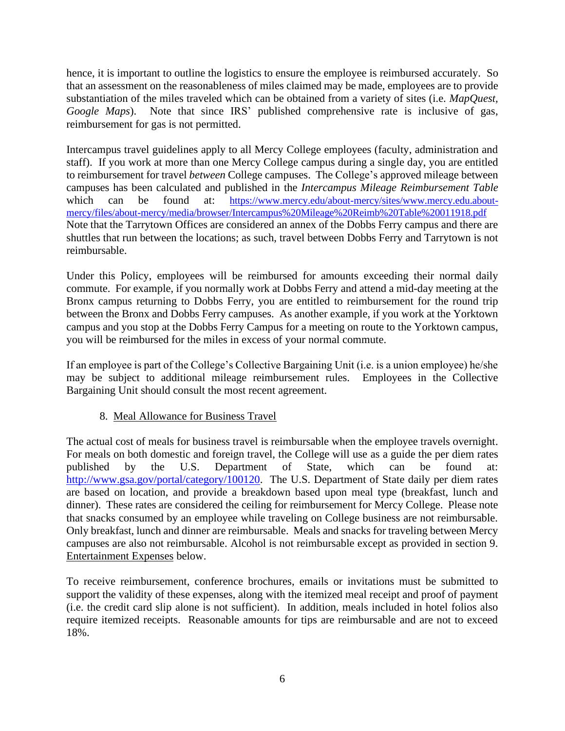hence, it is important to outline the logistics to ensure the employee is reimbursed accurately. So that an assessment on the reasonableness of miles claimed may be made, employees are to provide substantiation of the miles traveled which can be obtained from a variety of sites (i.e. *MapQuest, Google Maps*). Note that since IRS' published comprehensive rate is inclusive of gas, reimbursement for gas is not permitted.

Intercampus travel guidelines apply to all Mercy College employees (faculty, administration and staff). If you work at more than one Mercy College campus during a single day, you are entitled to reimbursement for travel *between* College campuses. The College's approved mileage between campuses has been calculated and published in the *Intercampus Mileage Reimbursement Table* which can be found at: https://www.mercy.edu/about-mercy/sites/www.mercy.edu.aboutmercy/files/about-mercy/media/browser/Intercampus%20Mileage%20Reimb%20Table%20011918.pdf Note that the Tarrytown Offices are considered an annex of the Dobbs Ferry campus and there are shuttles that run between the locations; as such, travel between Dobbs Ferry and Tarrytown is not reimbursable.

Under this Policy, employees will be reimbursed for amounts exceeding their normal daily commute. For example, if you normally work at Dobbs Ferry and attend a mid-day meeting at the Bronx campus returning to Dobbs Ferry, you are entitled to reimbursement for the round trip between the Bronx and Dobbs Ferry campuses. As another example, if you work at the Yorktown campus and you stop at the Dobbs Ferry Campus for a meeting on route to the Yorktown campus, you will be reimbursed for the miles in excess of your normal commute.

If an employee is part of the College's Collective Bargaining Unit (i.e. is a union employee) he/she may be subject to additional mileage reimbursement rules. Employees in the Collective Bargaining Unit should consult the most recent agreement.

#### 8. Meal Allowance for Business Travel

The actual cost of meals for business travel is reimbursable when the employee travels overnight. For meals on both domestic and foreign travel, the College will use as a guide the per diem rates published by the U.S. Department of State, which can be found at: [http://www.gsa.gov/portal/category/100120.](http://www.gsa.gov/portal/category/100120) The U.S. Department of State daily per diem rates are based on location, and provide a breakdown based upon meal type (breakfast, lunch and dinner). These rates are considered the ceiling for reimbursement for Mercy College. Please note that snacks consumed by an employee while traveling on College business are not reimbursable. Only breakfast, lunch and dinner are reimbursable. Meals and snacks for traveling between Mercy campuses are also not reimbursable. Alcohol is not reimbursable except as provided in section 9. Entertainment Expenses below.

To receive reimbursement, conference brochures, emails or invitations must be submitted to support the validity of these expenses, along with the itemized meal receipt and proof of payment (i.e. the credit card slip alone is not sufficient). In addition, meals included in hotel folios also require itemized receipts. Reasonable amounts for tips are reimbursable and are not to exceed 18%.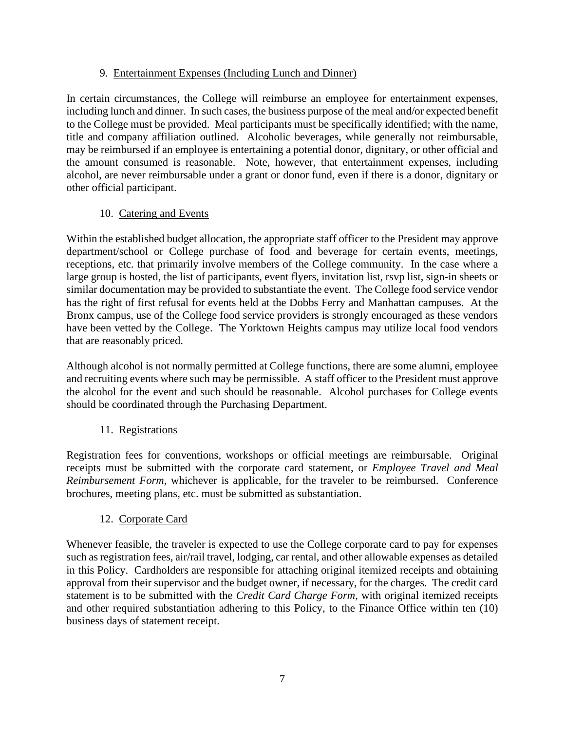#### 9. Entertainment Expenses (Including Lunch and Dinner)

In certain circumstances, the College will reimburse an employee for entertainment expenses, including lunch and dinner. In such cases, the business purpose of the meal and/or expected benefit to the College must be provided. Meal participants must be specifically identified; with the name, title and company affiliation outlined. Alcoholic beverages, while generally not reimbursable, may be reimbursed if an employee is entertaining a potential donor, dignitary, or other official and the amount consumed is reasonable. Note, however, that entertainment expenses, including alcohol, are never reimbursable under a grant or donor fund, even if there is a donor, dignitary or other official participant.

#### 10. Catering and Events

Within the established budget allocation, the appropriate staff officer to the President may approve department/school or College purchase of food and beverage for certain events, meetings, receptions, etc. that primarily involve members of the College community. In the case where a large group is hosted, the list of participants, event flyers, invitation list, rsvp list, sign-in sheets or similar documentation may be provided to substantiate the event. The College food service vendor has the right of first refusal for events held at the Dobbs Ferry and Manhattan campuses. At the Bronx campus, use of the College food service providers is strongly encouraged as these vendors have been vetted by the College. The Yorktown Heights campus may utilize local food vendors that are reasonably priced.

Although alcohol is not normally permitted at College functions, there are some alumni, employee and recruiting events where such may be permissible. A staff officer to the President must approve the alcohol for the event and such should be reasonable. Alcohol purchases for College events should be coordinated through the Purchasing Department.

#### 11. Registrations

Registration fees for conventions, workshops or official meetings are reimbursable. Original receipts must be submitted with the corporate card statement, or *Employee Travel and Meal Reimbursement Form*, whichever is applicable, for the traveler to be reimbursed. Conference brochures, meeting plans, etc. must be submitted as substantiation.

#### 12. Corporate Card

Whenever feasible, the traveler is expected to use the College corporate card to pay for expenses such as registration fees, air/rail travel, lodging, car rental, and other allowable expenses as detailed in this Policy. Cardholders are responsible for attaching original itemized receipts and obtaining approval from their supervisor and the budget owner, if necessary, for the charges. The credit card statement is to be submitted with the *Credit Card Charge Form*, with original itemized receipts and other required substantiation adhering to this Policy, to the Finance Office within ten (10) business days of statement receipt.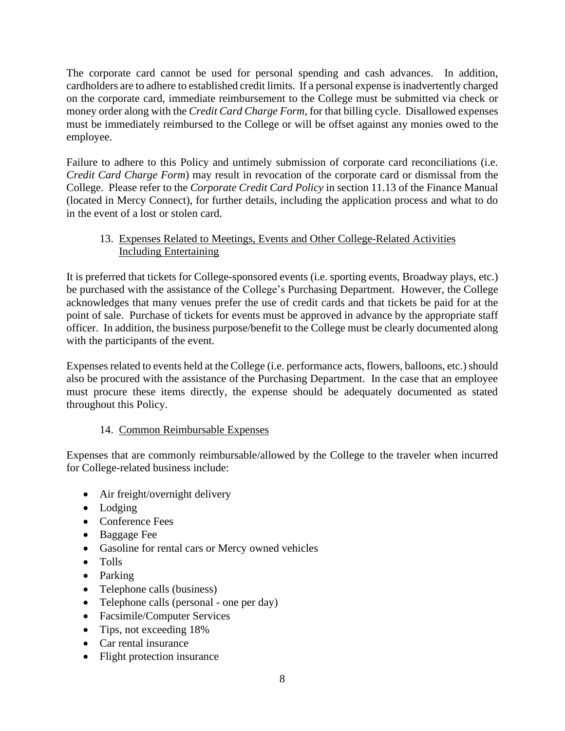The corporate card cannot be used for personal spending and cash advances. In addition, cardholders are to adhere to established credit limits. If a personal expense is inadvertently charged on the corporate card, immediate reimbursement to the College must be submitted via check or money order along with the *Credit Card Charge Form*, for that billing cycle. Disallowed expenses must be immediately reimbursed to the College or will be offset against any monies owed to the employee.

Failure to adhere to this Policy and untimely submission of corporate card reconciliations (i.e. *Credit Card Charge Form*) may result in revocation of the corporate card or dismissal from the College. Please refer to the *Corporate Credit Card Policy* in section 11.13 of the Finance Manual (located in Mercy Connect), for further details, including the application process and what to do in the event of a lost or stolen card.

## 13. Expenses Related to Meetings, Events and Other College-Related Activities Including Entertaining

It is preferred that tickets for College-sponsored events (i.e. sporting events, Broadway plays, etc.) be purchased with the assistance of the College's Purchasing Department. However, the College acknowledges that many venues prefer the use of credit cards and that tickets be paid for at the point of sale. Purchase of tickets for events must be approved in advance by the appropriate staff officer. In addition, the business purpose/benefit to the College must be clearly documented along with the participants of the event.

Expenses related to events held at the College (i.e. performance acts, flowers, balloons, etc.) should also be procured with the assistance of the Purchasing Department. In the case that an employee must procure these items directly, the expense should be adequately documented as stated throughout this Policy.

# 14. Common Reimbursable Expenses

Expenses that are commonly reimbursable/allowed by the College to the traveler when incurred for College-related business include:

- Air freight/overnight delivery
- Lodging
- Conference Fees
- Baggage Fee
- Gasoline for rental cars or Mercy owned vehicles
- Tolls
- Parking
- Telephone calls (business)
- Telephone calls (personal one per day)
- Facsimile/Computer Services
- Tips, not exceeding 18%
- Car rental insurance
- Flight protection insurance